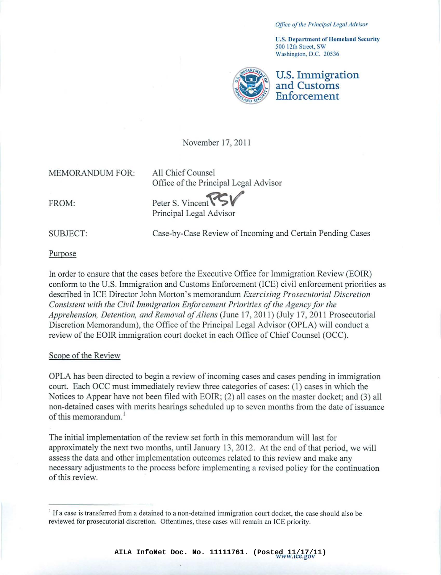*Office olille Principal Legal Advisor*

**u.s. J)cpartmcnt of Homeland Security 500 12th Street SW Washington. D.C. 20536**



U.S. Immigration and Customs Enforcement

November 17, 2011

MEMORANDUM FOR:

All Chief Counsel Office of the Principal Legal Advisor

FROM:

Peter S. Vincent Principal Legal Advisor

SUBJECT:

Case-by-Case Review of Incoming and Certain Pending Cases

Purpose

In order to ensure that the cases before the Executive Office for Immigration Review (EOIR) conform to the U.S. Immigration and Customs Enforcement (lCE) civil enforcement priorities as described in ICE Director John Morton's memorandum *Exercising Prosecutorial Discrelion Consistent with the Civil Immigration Enforcement Priorilies ofthe Agencyfor the Apprehension, Detention, and Removal ofAliens* (June 17,20 II) (July 17, 20 II Prosecutorial Discretion Memorandum), the Office of the Principal Legal Advisor (OPLA) will conduct a review of the EOIR immigration court docket in each Office of Chief Counsel (OCC).

#### Scope of the Review

OPLA has been directed to begin a review of incoming cases and cases pending in immigration court. Each OCC must immediately review three categories of cases: (I) cases in which the Notices to Appear have not been filed with EOIR; (2) all cases on the master docket; and (3) all non-detained cases with merits hearings scheduled up to seven months from the date of issuance of this memorandum. $<sup>1</sup>$ </sup>

The initial implementation of the review set forth in this memorandum will last for approximately the next two months, until January 13,2012. At the end of that period, we will assess the data and other implementation outcomes related to this review and make any necessary adjustments to the process before implementing a revised policy for the continuation of this review.

<sup>&</sup>lt;sup>1</sup> If a case is transferred from a detained to a non-detained immigration court docket, the case should also be **reviewed for prosecutorial discretion. Oftentimes, these cases will remain an ICE priority.**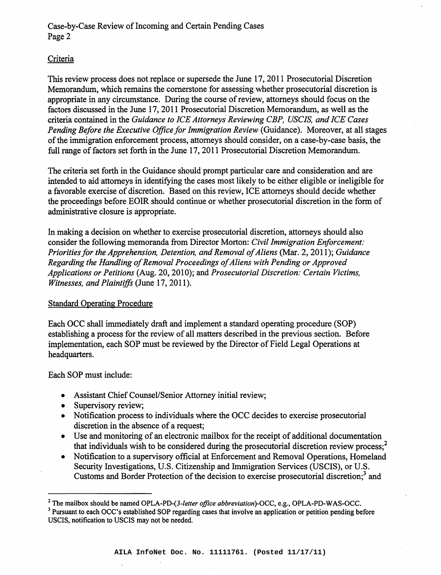# Criteria

This review process does not replace or supersede the June 17,2011 Prosecutorial Discretion Memorandum, which remains the cornerstone for assessing whether prosecutorial discretion is appropriate in any circumstance. During the course of review, attorneys should focus on the factors discussed in the June 17, 2011 Prosecutorial Discretion Memorandum, as well as the criteria contained in the *Guidance. to ICE Attorneys' Reviewing CBP, USCIS, and ICE Cases Pending Before the Executive Office for Immigration Review* (Guidance). Moreover, at all stages of the immigration enforcement process, attorneys should consider, on a case-by-case basis, the full range of factors set forth in the June 17, 2011 Prosecutorial Discretion Memorandum.

The criteria set forth in the Guidance should prompt particular care and consideration and are intended to aid attorneys in identifying the cases most likely to be either eligible or ineligible for a favorable exercise of discretion. Based on this review, ICE attorneys should decide whether the proceedings before EOIR should continue or whether prosecutorial discretion in the form of administrative closure is appropriate.

In making a decision on whether to exercise prosecutorial discretion, attorneys should also consider the following memoranda from Director Morton: *Civil Immigration Enforcement: Prioritiesfor the Apprehension, Detention, and Removal ofAliens* (Mar. 2, 2011); *Guidance Regarding the Handling of Removal Proceedings of Aliens with Pending or Approved Applications or Petitions* (Aug. 20, 2010); and *Prosecutorial Discretion: Certain Victims, Witnesses, and Plaintiffs* (June 17, 2011).

# Standard Operating Procedure

Each OCC shall immediately draft and implement a standard operating procedure. (SOP) establishing a process for the review of all matters described in the previous section. Before implementation, each SOP must be reviewed by the Director of Field Legal Operations at headquarters.

Each SOP must include:

- Assistant Chief Counsel/Senior Attorney initial review;
- Supervisory review;
- Notification process to individuals where the OCC decides to exercise prosecutorial discretion in the absence of a request;
- Use and monitoring of an electronic mailbox for the receipt of additional documentation that individuals wish to be considered during the prosecutorial discretion review process;<sup>2</sup>
- Notification to a supervisory official at Enforcement and Removal Operations, Homeland Security Investigations, U.S. Citizenship and Immigration Services (USCIS), or U.S. Customs and Border Protection of the decision to exercise prosecutorial discretion;<sup>3</sup> and

<sup>2</sup> The mailbox should be named *OPLA-PD-(3-1etter office abbreviation)-OCC,* e.g., OPLA-PD-WAS-OCC.

<sup>&</sup>lt;sup>3</sup> Pursuant to each OCC's established SOP regarding cases that involve an application or petition pending before USCIS, notification to USCIS may not be needed.